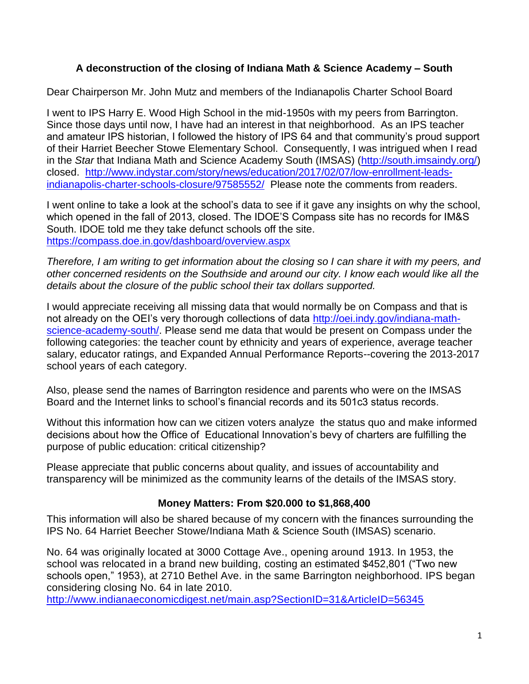# **A deconstruction of the closing of Indiana Math & Science Academy – South**

Dear Chairperson Mr. John Mutz and members of the Indianapolis Charter School Board

I went to IPS Harry E. Wood High School in the mid-1950s with my peers from Barrington. Since those days until now, I have had an interest in that neighborhood. As an IPS teacher and amateur IPS historian, I followed the history of IPS 64 and that community's proud support of their Harriet Beecher Stowe Elementary School. Consequently, I was intrigued when I read in the *Star* that Indiana Math and Science Academy South (IMSAS) [\(http://south.imsaindy.org/\)](http://south.imsaindy.org/) closed. [http://www.indystar.com/story/news/education/2017/02/07/low-enrollment-leads](http://www.indystar.com/story/news/education/2017/02/07/low-enrollment-leads-indianapolis-charter-schools-closure/97585552/)[indianapolis-charter-schools-closure/97585552/](http://www.indystar.com/story/news/education/2017/02/07/low-enrollment-leads-indianapolis-charter-schools-closure/97585552/) Please note the comments from readers.

I went online to take a look at the school's data to see if it gave any insights on why the school, which opened in the fall of 2013, closed. The IDOE'S Compass site has no records for IM&S South. IDOE told me they take defunct schools off the site. <https://compass.doe.in.gov/dashboard/overview.aspx>

*Therefore, I am writing to get information about the closing so I can share it with my peers, and other concerned residents on the Southside and around our city. I know each would like all the details about the closure of the public school their tax dollars supported.* 

I would appreciate receiving all missing data that would normally be on Compass and that is not already on the OEI's very thorough collections of data [http://oei.indy.gov/indiana-math](http://oei.indy.gov/indiana-math-science-academy-south/)[science-academy-south/.](http://oei.indy.gov/indiana-math-science-academy-south/) Please send me data that would be present on Compass under the following categories: the teacher count by ethnicity and years of experience, average teacher salary, educator ratings, and Expanded Annual Performance Reports--covering the 2013-2017 school years of each category.

Also, please send the names of Barrington residence and parents who were on the IMSAS Board and the Internet links to school's financial records and its 501c3 status records.

Without this information how can we citizen voters analyze the status quo and make informed decisions about how the Office of Educational Innovation's bevy of charters are fulfilling the purpose of public education: critical citizenship?

Please appreciate that public concerns about quality, and issues of accountability and transparency will be minimized as the community learns of the details of the IMSAS story.

# **Money Matters: From \$20.000 to \$1,868,400**

This information will also be shared because of my concern with the finances surrounding the IPS No. 64 Harriet Beecher Stowe/Indiana Math & Science South (IMSAS) scenario.

No. 64 was originally located at 3000 Cottage Ave., opening around 1913. In 1953, the school was relocated in a brand new building, costing an estimated \$452,801 ("Two new schools open," 1953), at 2710 Bethel Ave. in the same Barrington neighborhood. IPS began considering closing No. 64 in late 2010.

<http://www.indianaeconomicdigest.net/main.asp?SectionID=31&ArticleID=56345>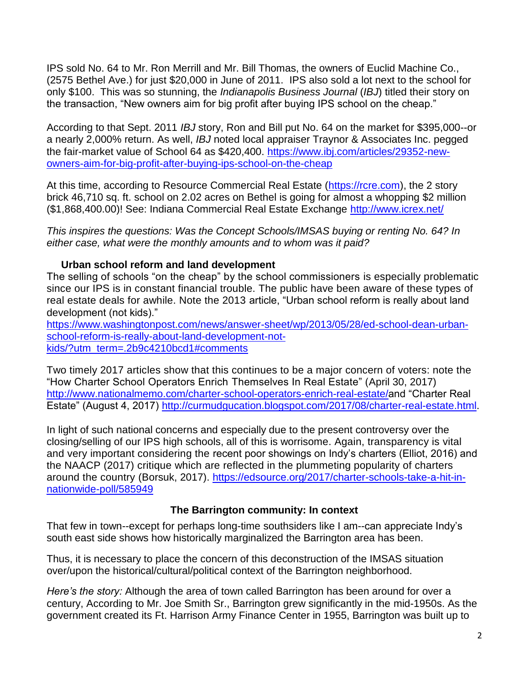IPS sold No. 64 to Mr. Ron Merrill and Mr. Bill Thomas, the owners of Euclid Machine Co., (2575 Bethel Ave.) for just \$20,000 in June of 2011. IPS also sold a lot next to the school for only \$100. This was so stunning, the *Indianapolis Business Journal* (*IBJ*) titled their story on the transaction, "New owners aim for big profit after buying IPS school on the cheap."

According to that Sept. 2011 *IBJ* story, Ron and Bill put No. 64 on the market for \$395,000--or a nearly 2,000% return. As well, *IBJ* noted local appraiser Traynor & Associates Inc. pegged the fair-market value of School 64 as \$420,400. [https://www.ibj.com/articles/29352-new](https://www.ibj.com/articles/29352-new-owners-aim-for-big-profit-after-buying-ips-school-on-the-cheap)[owners-aim-for-big-profit-after-buying-ips-school-on-the-cheap](https://www.ibj.com/articles/29352-new-owners-aim-for-big-profit-after-buying-ips-school-on-the-cheap)

At this time, according to Resource Commercial Real Estate [\(https://rcre.com\)](https://rcre.com/), the 2 story brick 46,710 sq. ft. school on 2.02 acres on Bethel is going for almost a whopping \$2 million (\$1,868,400.00)! See: Indiana Commercial Real Estate Exchange<http://www.icrex.net/>

*This inspires the questions: Was the Concept Schools/IMSAS buying or renting No. 64? In either case, what were the monthly amounts and to whom was it paid?*

# **Urban school reform and land development**

The selling of schools "on the cheap" by the school commissioners is especially problematic since our IPS is in constant financial trouble. The public have been aware of these types of real estate deals for awhile. Note the 2013 article, "Urban school reform is really about land development (not kids)."

[https://www.washingtonpost.com/news/answer-sheet/wp/2013/05/28/ed-school-dean-urban](https://www.washingtonpost.com/news/answer-sheet/wp/2013/05/28/ed-school-dean-urban-school-reform-is-really-about-land-development-not-kids/?utm_term=.2b9c4210bcd1#comments)[school-reform-is-really-about-land-development-not](https://www.washingtonpost.com/news/answer-sheet/wp/2013/05/28/ed-school-dean-urban-school-reform-is-really-about-land-development-not-kids/?utm_term=.2b9c4210bcd1#comments)[kids/?utm\\_term=.2b9c4210bcd1#comments](https://www.washingtonpost.com/news/answer-sheet/wp/2013/05/28/ed-school-dean-urban-school-reform-is-really-about-land-development-not-kids/?utm_term=.2b9c4210bcd1#comments)

Two timely 2017 articles show that this continues to be a major concern of voters: note the "How Charter School Operators Enrich Themselves In Real Estate" (April 30, 2017) [http://www.nationalmemo.com/charter-school-operators-enrich-real-estate/a](http://www.nationalmemo.com/charter-school-operators-enrich-real-estate/)nd "Charter Real Estate" (August 4, 2017) [http://curmudgucation.blogspot.com/2017/08/charter-real-estate.html.](http://curmudgucation.blogspot.com/2017/08/charter-real-estate.html)

In light of such national concerns and especially due to the present controversy over the closing/selling of our IPS high schools, all of this is worrisome. Again, transparency is vital and very important considering the recent poor showings on Indy's charters (Elliot, 2016) and the NAACP (2017) critique which are reflected in the plummeting popularity of charters around the country (Borsuk, 2017). [https://edsource.org/2017/charter-schools-take-a-hit-in](https://edsource.org/2017/charter-schools-take-a-hit-in-nationwide-poll/585949)[nationwide-poll/585949](https://edsource.org/2017/charter-schools-take-a-hit-in-nationwide-poll/585949)

# **The Barrington community: In context**

That few in town--except for perhaps long-time southsiders like I am--can appreciate Indy's south east side shows how historically marginalized the Barrington area has been.

Thus, it is necessary to place the concern of this deconstruction of the IMSAS situation over/upon the historical/cultural/political context of the Barrington neighborhood.

*Here's the story:* Although the area of town called Barrington has been around for over a century, According to Mr. Joe Smith Sr., Barrington grew significantly in the mid-1950s. As the government created its Ft. Harrison Army Finance Center in 1955, Barrington was built up to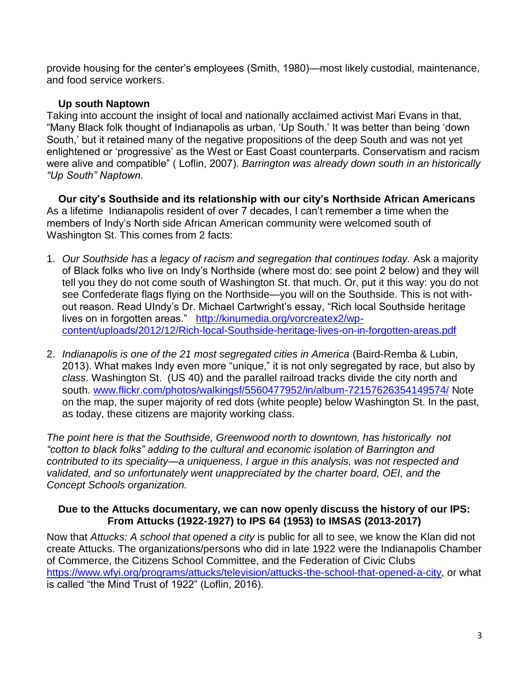provide housing for the center's employees (Smith, 1980)—most likely custodial, maintenance, and food service workers.

### **Up south Naptown**

Taking into account the insight of local and nationally acclaimed activist Mari Evans in that, "Many Black folk thought of Indianapolis as urban, 'Up South.' It was better than being 'down South,' but it retained many of the negative propositions of the deep South and was not yet enlightened or 'progressive' as the West or East Coast counterparts. Conservatism and racism were alive and compatible" ( Loflin, 2007). *Barrington was already down south in an historically "Up South" Naptown.*

 **Our city's Southside and its relationship with our city's Northside African Americans** As a lifetime Indianapolis resident of over 7 decades, I can't remember a time when the members of Indy's North side African American community were welcomed south of Washington St. This comes from 2 facts:

- 1. *Our Southside has a legacy of racism and segregation that continues today.* Ask a majority of Black folks who live on Indy's Northside (where most do: see point 2 below) and they will tell you they do not come south of Washington St. that much. Or, put it this way: you do not see Confederate flags flying on the Northside—you will on the Southside. This is not without reason. Read UIndy's Dr. Michael Cartwright's essay, "Rich local Southside heritage lives on in forgotten areas." [http://kinumedia.org/vorcreatex2/wp](http://kinumedia.org/vorcreatex2/wp-content/uploads/2012/12/Rich-local-Southside-heritage-lives-on-in-forgotten-areas.pdf)[content/uploads/2012/12/Rich-local-Southside-heritage-lives-on-in-forgotten-areas.pdf](http://kinumedia.org/vorcreatex2/wp-content/uploads/2012/12/Rich-local-Southside-heritage-lives-on-in-forgotten-areas.pdf)
- 2. *Indianapolis is one of the 21 most segregated cities in America* (Baird-Remba & Lubin, 2013). What makes Indy even more "unique," it is not only segregated by race, but also by *class*. Washington St. (US 40) and the parallel railroad tracks divide the city north and south. [www.flickr.com/photos/walkingsf/5560477952/in/album-72157626354149574/](http://www.flickr.com/photos/walkingsf/5560477952/in/album-72157626354149574/) Note on the map, the super majority of red dots (white people) below Washington St. In the past, as today, these citizens are majority working class.

*The point here is that the Southside, Greenwood north to downtown, has historically not "cotton to black folks" adding to the cultural and economic isolation of Barrington and contributed to its speciality—a uniqueness, I argue in this analysis, was not respected and validated, and so unfortunately went unappreciated by the charter board, OEI, and the Concept Schools organization.*

#### **Due to the Attucks documentary, we can now openly discuss the history of our IPS: From Attucks (1922-1927) to IPS 64 (1953) to IMSAS (2013-2017)**

Now that *Attucks: A school that opened a city* is public for all to see, we know the Klan did not create Attucks. The organizations/persons who did in late 1922 were the Indianapolis Chamber of Commerce, the Citizens School Committee, and the Federation of Civic Clubs [https://www.wfyi.org/programs/attucks/television/attucks-the-school-that-opened-a-city,](https://www.wfyi.org/programs/attucks/television/attucks-the-school-that-opened-a-city) or what is called "the Mind Trust of 1922" (Loflin, 2016).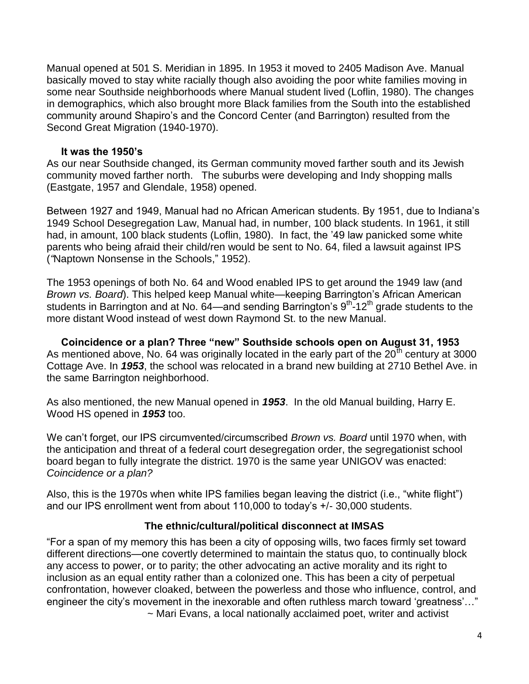Manual opened at 501 S. Meridian in 1895. In 1953 it moved to 2405 Madison Ave. Manual basically moved to stay white racially though also avoiding the poor white families moving in some near Southside neighborhoods where Manual student lived (Loflin, 1980). The changes in demographics, which also brought more Black families from the South into the established community around Shapiro's and the Concord Center (and Barrington) resulted from the Second Great Migration (1940-1970).

#### **It was the 1950's**

As our near Southside changed, its German community moved farther south and its Jewish community moved farther north. The suburbs were developing and Indy shopping malls (Eastgate, 1957 and Glendale, 1958) opened.

Between 1927 and 1949, Manual had no African American students. By 1951, due to Indiana's 1949 School Desegregation Law, Manual had, in number, 100 black students. In 1961, it still had, in amount, 100 black students (Loflin, 1980). In fact, the '49 law panicked some white parents who being afraid their child/ren would be sent to No. 64, filed a lawsuit against IPS (*"*Naptown Nonsense in the Schools," 1952).

The 1953 openings of both No. 64 and Wood enabled IPS to get around the 1949 law (and *Brown vs. Board*). This helped keep Manual white—keeping Barrington's African American students in Barrington and at No. 64—and sending Barrington's  $9<sup>th</sup>$ -12<sup>th</sup> grade students to the more distant Wood instead of west down Raymond St. to the new Manual.

 **Coincidence or a plan? Three "new" Southside schools open on August 31, 1953**  As mentioned above, No. 64 was originally located in the early part of the  $20^{\text{th}}$  century at 3000 Cottage Ave. In *1953*, the school was relocated in a brand new building at 2710 Bethel Ave. in the same Barrington neighborhood.

As also mentioned, the new Manual opened in *1953*. In the old Manual building, Harry E. Wood HS opened in *1953* too.

We can't forget, our IPS circumvented/circumscribed *Brown vs. Board* until 1970 when, with the anticipation and threat of a federal court desegregation order, the segregationist school board began to fully integrate the district. 1970 is the same year UNIGOV was enacted: *Coincidence or a plan?*

Also, this is the 1970s when white IPS families began leaving the district (i.e., "white flight") and our IPS enrollment went from about 110,000 to today's +/- 30,000 students.

#### **The ethnic/cultural/political disconnect at IMSAS**

"For a span of my memory this has been a city of opposing wills, two faces firmly set toward different directions—one covertly determined to maintain the status quo, to continually block any access to power, or to parity; the other advocating an active morality and its right to inclusion as an equal entity rather than a colonized one. This has been a city of perpetual confrontation, however cloaked, between the powerless and those who influence, control, and engineer the city's movement in the inexorable and often ruthless march toward 'greatness'…" ~ Mari Evans, a local nationally acclaimed poet, writer and activist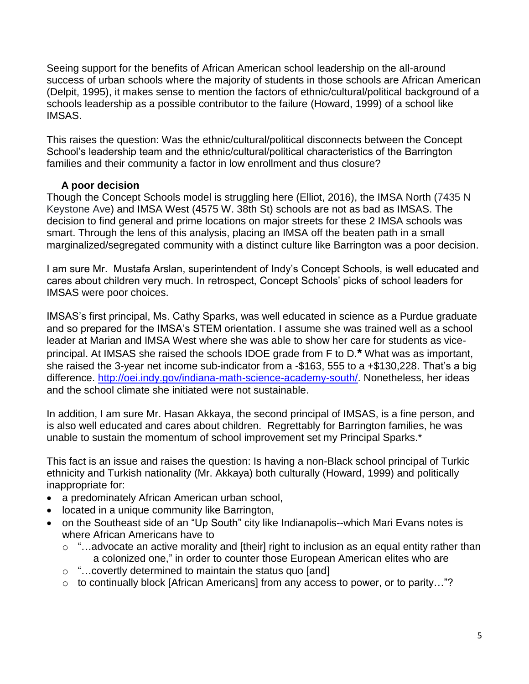Seeing support for the benefits of African American school leadership on the all-around success of urban schools where the majority of students in those schools are African American (Delpit, 1995), it makes sense to mention the factors of ethnic/cultural/political background of a schools leadership as a possible contributor to the failure (Howard, 1999) of a school like IMSAS.

This raises the question: Was the ethnic/cultural/political disconnects between the Concept School's leadership team and the ethnic/cultural/political characteristics of the Barrington families and their community a factor in low enrollment and thus closure?

### **A poor decision**

Though the Concept Schools model is struggling here (Elliot, 2016), the IMSA North (7435 N Keystone Ave) and IMSA West (4575 W. 38th St) schools are not as bad as IMSAS. The decision to find general and prime locations on major streets for these 2 IMSA schools was smart. Through the lens of this analysis, placing an IMSA off the beaten path in a small marginalized/segregated community with a distinct culture like Barrington was a poor decision.

I am sure Mr. Mustafa Arslan, superintendent of Indy's Concept Schools, is well educated and cares about children very much. In retrospect, Concept Schools' picks of school leaders for IMSAS were poor choices.

IMSAS's first principal, Ms. Cathy Sparks, was well educated in science as a Purdue graduate and so prepared for the IMSA's STEM orientation. I assume she was trained well as a school leader at Marian and IMSA West where she was able to show her care for students as viceprincipal. At IMSAS she raised the schools IDOE grade from F to D.**\*** What was as important, she raised the 3-year net income sub-indicator from a -\$163, 555 to a +\$130,228. That's a big difference. [http://oei.indy.gov/indiana-math-science-academy-south/.](http://oei.indy.gov/indiana-math-science-academy-south/) Nonetheless, her ideas and the school climate she initiated were not sustainable.

In addition, I am sure Mr. Hasan Akkaya, the second principal of IMSAS, is a fine person, and is also well educated and cares about children. Regrettably for Barrington families, he was unable to sustain the momentum of school improvement set my Principal Sparks.\*

This fact is an issue and raises the question: Is having a non-Black school principal of Turkic ethnicity and Turkish nationality (Mr. Akkaya) both culturally (Howard, 1999) and politically inappropriate for:

- a predominately African American urban school,
- **•** located in a unique community like Barrington,
- on the Southeast side of an "Up South" city like Indianapolis--which Mari Evans notes is where African Americans have to
	- o "…advocate an active morality and [their] right to inclusion as an equal entity rather than a colonized one," in order to counter those European American elites who are
	- o "…covertly determined to maintain the status quo [and]
	- o to continually block [African Americans] from any access to power, or to parity…"?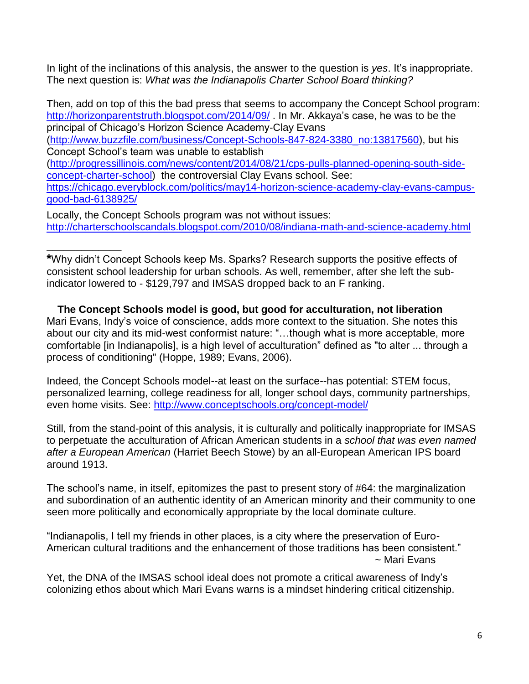In light of the inclinations of this analysis, the answer to the question is *yes*. It's inappropriate. The next question is: *What was the Indianapolis Charter School Board thinking?*

Then, add on top of this the bad press that seems to accompany the Concept School program: <http://horizonparentstruth.blogspot.com/2014/09/> . In Mr. Akkaya's case, he was to be the principal of Chicago's Horizon Science Academy-Clay Evans [\(http://www.buzzfile.com/business/Concept-Schools-847-824-3380\\_no:13817560\)](http://www.buzzfile.com/business/Concept-Schools-847-824-3380_no:13817560), but his Concept School's team was unable to establish [\(http://progressillinois.com/news/content/2014/08/21/cps-pulls-planned-opening-south-side](http://progressillinois.com/news/content/2014/08/21/cps-pulls-planned-opening-south-side-concept-charter-school)[concept-charter-school\)](http://progressillinois.com/news/content/2014/08/21/cps-pulls-planned-opening-south-side-concept-charter-school) the controversial Clay Evans school. See: [https://chicago.everyblock.com/politics/may14-horizon-science-academy-clay-evans-campus](https://chicago.everyblock.com/politics/may14-horizon-science-academy-clay-evans-campus-good-bad-6138925/)[good-bad-6138925/](https://chicago.everyblock.com/politics/may14-horizon-science-academy-clay-evans-campus-good-bad-6138925/)

Locally, the Concept Schools program was not without issues: <http://charterschoolscandals.blogspot.com/2010/08/indiana-math-and-science-academy.html>

**\***Why didn't Concept Schools keep Ms. Sparks? Research supports the positive effects of consistent school leadership for urban schools. As well, remember, after she left the subindicator lowered to - \$129,797 and IMSAS dropped back to an F ranking.

**\_\_\_\_\_\_\_\_\_\_\_\_\_**

 **The Concept Schools model is good, but good for acculturation, not liberation** Mari Evans, Indy's voice of conscience, adds more context to the situation. She notes this about our city and its mid-west conformist nature: "…though what is more acceptable, more comfortable [in Indianapolis], is a high level of acculturation" defined as "to alter ... through a process of conditioning" (Hoppe, 1989; Evans, 2006).

Indeed, the Concept Schools model--at least on the surface--has potential: STEM focus, personalized learning, college readiness for all, longer school days, community partnerships, even home visits. See:<http://www.conceptschools.org/concept-model/>

Still, from the stand-point of this analysis, it is culturally and politically inappropriate for IMSAS to perpetuate the acculturation of African American students in a *school that was even named after a European American* (Harriet Beech Stowe) by an all-European American IPS board around 1913.

The school's name, in itself, epitomizes the past to present story of #64: the marginalization and subordination of an authentic identity of an American minority and their community to one seen more politically and economically appropriate by the local dominate culture.

"Indianapolis, I tell my friends in other places, is a city where the preservation of Euro-American cultural traditions and the enhancement of those traditions has been consistent." ~ Mari Evans

Yet, the DNA of the IMSAS school ideal does not promote a critical awareness of Indy's colonizing ethos about which Mari Evans warns is a mindset hindering critical citizenship.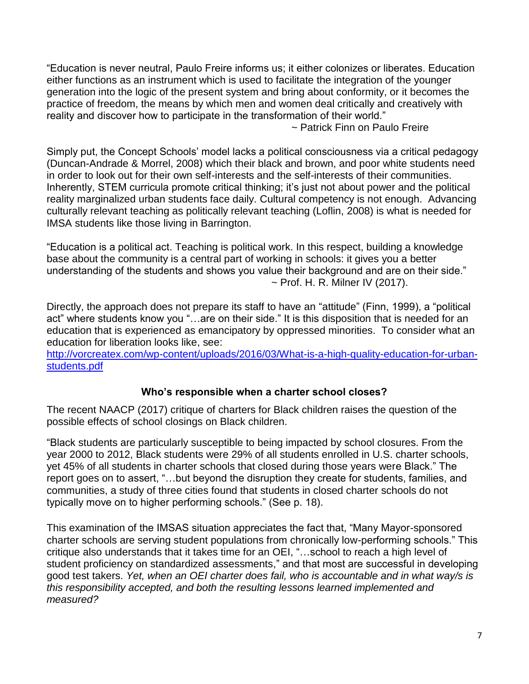"Education is never neutral, Paulo Freire informs us; it either colonizes or liberates. Education either functions as an instrument which is used to facilitate the integration of the younger generation into the logic of the present system and bring about conformity, or it becomes the practice of freedom, the means by which men and women deal critically and creatively with reality and discover how to participate in the transformation of their world."

~ Patrick Finn on Paulo Freire

Simply put, the Concept Schools' model lacks a political consciousness via a critical pedagogy (Duncan-Andrade & Morrel, 2008) which their black and brown, and poor white students need in order to look out for their own self-interests and the self-interests of their communities. Inherently, STEM curricula promote critical thinking; it's just not about power and the political reality marginalized urban students face daily. Cultural competency is not enough. Advancing culturally relevant teaching as politically relevant teaching (Loflin, 2008) is what is needed for IMSA students like those living in Barrington.

"Education is a political act. Teaching is political work. In this respect, building a knowledge base about the community is a central part of working in schools: it gives you a better understanding of the students and shows you value their background and are on their side."  $\sim$  Prof. H. R. Milner IV (2017).

Directly, the approach does not prepare its staff to have an "attitude" (Finn, 1999), a "political act" where students know you "…are on their side." It is this disposition that is needed for an education that is experienced as emancipatory by oppressed minorities. To consider what an education for liberation looks like, see:

[http://vorcreatex.com/wp-content/uploads/2016/03/What-is-a-high-quality-education-for-urban](http://vorcreatex.com/wp-content/uploads/2016/03/What-is-a-high-quality-education-for-urban-students.pdf)[students.pdf](http://vorcreatex.com/wp-content/uploads/2016/03/What-is-a-high-quality-education-for-urban-students.pdf)

# **Who's responsible when a charter school closes?**

The recent NAACP (2017) critique of charters for Black children raises the question of the possible effects of school closings on Black children.

"Black students are particularly susceptible to being impacted by school closures. From the year 2000 to 2012, Black students were 29% of all students enrolled in U.S. charter schools, yet 45% of all students in charter schools that closed during those years were Black." The report goes on to assert, "…but beyond the disruption they create for students, families, and communities, a study of three cities found that students in closed charter schools do not typically move on to higher performing schools." (See p. 18).

This examination of the IMSAS situation appreciates the fact that, "Many Mayor-sponsored charter schools are serving student populations from chronically low-performing schools." This critique also understands that it takes time for an OEI, "…school to reach a high level of student proficiency on standardized assessments," and that most are successful in developing good test takers. *Yet, when an OEI charter does fail, who is accountable and in what way/s is this responsibility accepted, and both the resulting lessons learned implemented and measured?*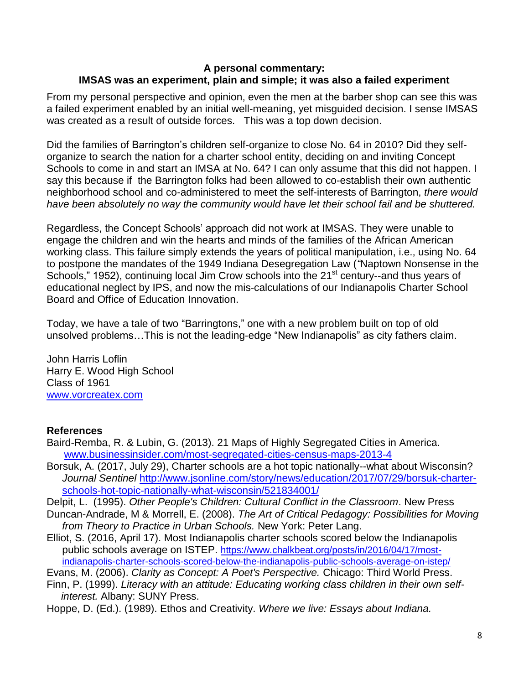#### **A personal commentary: IMSAS was an experiment, plain and simple; it was also a failed experiment**

From my personal perspective and opinion, even the men at the barber shop can see this was a failed experiment enabled by an initial well-meaning, yet misguided decision. I sense IMSAS was created as a result of outside forces. This was a top down decision.

Did the families of Barrington's children self-organize to close No. 64 in 2010? Did they selforganize to search the nation for a charter school entity, deciding on and inviting Concept Schools to come in and start an IMSA at No. 64? I can only assume that this did not happen. I say this because if the Barrington folks had been allowed to co-establish their own authentic neighborhood school and co-administered to meet the self-interests of Barrington, *there would have been absolutely no way the community would have let their school fail and be shuttered.* 

Regardless, the Concept Schools' approach did not work at IMSAS. They were unable to engage the children and win the hearts and minds of the families of the African American working class. This failure simply extends the years of political manipulation, i.e., using No. 64 to postpone the mandates of the 1949 Indiana Desegregation Law (*"*Naptown Nonsense in the Schools," 1952), continuing local Jim Crow schools into the 21<sup>st</sup> century--and thus years of educational neglect by IPS, and now the mis-calculations of our Indianapolis Charter School Board and Office of Education Innovation.

Today, we have a tale of two "Barringtons," one with a new problem built on top of old unsolved problems…This is not the leading-edge "New Indianapolis" as city fathers claim.

John Harris Loflin Harry E. Wood High School Class of 1961 [www.vorcreatex.com](http://www.vorcreatex.com/)

# **References**

- Baird-Remba, R. & Lubin, G. (2013). 21 Maps of Highly Segregated Cities in America. [www.businessinsider.com/most-segregated-cities-census-maps-2013-4](http://www.businessinsider.com/most-segregated-cities-census-maps-2013-4)
- Borsuk, A. (2017, July 29), Charter schools are a hot topic nationally--what about Wisconsin? *Journal Sentinel* [http://www.jsonline.com/story/news/education/2017/07/29/borsuk-charter](http://www.jsonline.com/story/news/education/2017/07/29/borsuk-charter-schools-hot-topic-nationally-what-wisconsin/521834001/)[schools-hot-topic-nationally-what-wisconsin/521834001/](http://www.jsonline.com/story/news/education/2017/07/29/borsuk-charter-schools-hot-topic-nationally-what-wisconsin/521834001/)

Delpit, L. (1995). *Other People's Children: Cultural Conflict in the Classroom*. New Press

- Duncan-Andrade, M & Morrell, E. (2008). *The Art of Critical Pedagogy: Possibilities for Moving from Theory to Practice in Urban Schools.* New York: Peter Lang.
- Elliot, S. (2016, April 17). Most Indianapolis charter schools scored below the Indianapolis public schools average on ISTEP. [https://www.chalkbeat.org/posts/in/2016/04/17/most](https://www.chalkbeat.org/posts/in/2016/04/17/most-indianapolis-charter-schools-scored-below-the-indianapolis-public-schools-average-on-istep/)[indianapolis-charter-schools-scored-below-the-indianapolis-public-schools-average-on-istep/](https://www.chalkbeat.org/posts/in/2016/04/17/most-indianapolis-charter-schools-scored-below-the-indianapolis-public-schools-average-on-istep/)

Evans, M. (2006). *Clarity as Concept: A Poet's Perspective.* Chicago: Third World Press.

Finn, P. (1999). *Literacy with an attitude: Educating working class children in their own self interest.* Albany: SUNY Press.

Hoppe, D. (Ed.). (1989). Ethos and Creativity. *Where we live: Essays about Indiana.*